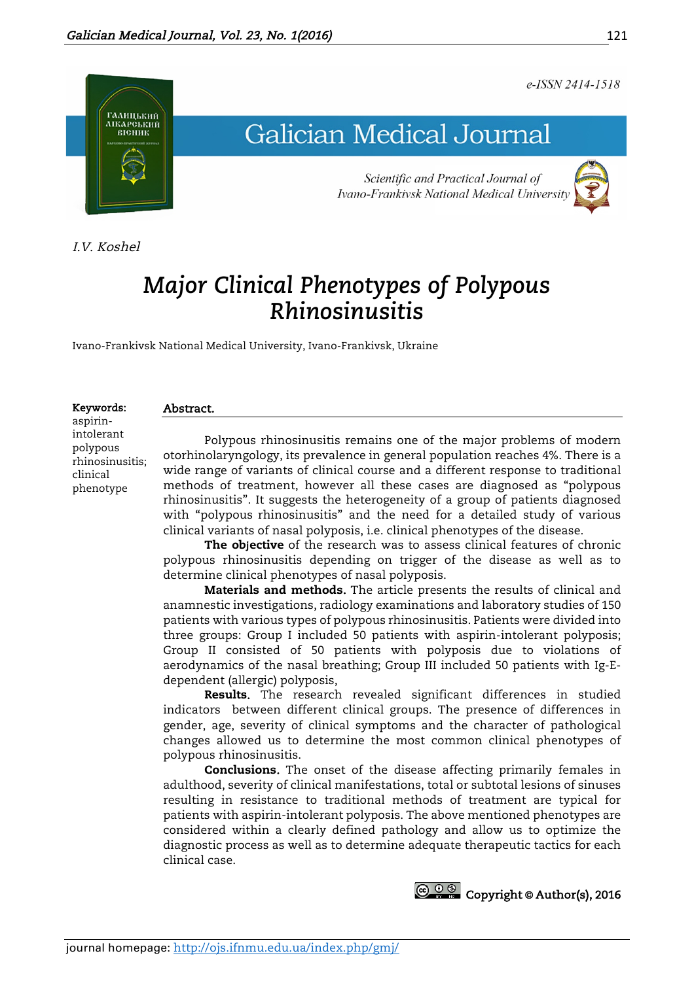## e-ISSN 2414-1518



I.V. Koshel

# *Major Clinical Phenotypes of Polypous Rhinosinusitis*

Ivano-Frankivsk National Medical University, Ivano-Frankivsk, Ukraine

#### Keywords:

aspirinintolerant polypous rhinosinusitis; clinical phenotype

# Abstract.

Polypous rhinosinusitis remains one of the major problems of modern otorhinolaryngology, its prevalence in general population reaches 4%. There is a wide range of variants of clinical course and a different response to traditional methods of treatment, however all these cases are diagnosed as "polypous rhinosinusitis". It suggests the heterogeneity of a group of patients diagnosed with "polypous rhinosinusitis" and the need for a detailed study of various clinical variants of nasal polyposis, i.e. clinical phenotypes of the disease.

The objective of the research was to assess clinical features of chronic polypous rhinosinusitis depending on trigger of the disease as well as to determine clinical phenotypes of nasal polyposis.

Materials and methods. The article presents the results of clinical and anamnestic investigations, radiology examinations and laboratory studies of 150 patients with various types of polypous rhinosinusitis. Patients were divided into three groups: Group I included 50 patients with aspirin-intolerant polyposis; Group II consisted of 50 patients with polyposis due to violations of aerodynamics of the nasal breathing; Group III included 50 patients with Ig-Edependent (allergic) polyposis,

Results. The research revealed significant differences in studied indicators between different clinical groups. The presence of differences in gender, age, severity of clinical symptoms and the character of pathological changes allowed us to determine the most common clinical phenotypes of polypous rhinosinusitis.

Conclusions. The onset of the disease affecting primarily females in adulthood, severity of clinical manifestations, total or subtotal lesions of sinuses resulting in resistance to traditional methods of treatment are typical for patients with aspirin-intolerant polyposis. The above mentioned phenotypes are considered within a clearly defined pathology and allow us to optimize the diagnostic process as well as to determine adequate therapeutic tactics for each clinical case.



121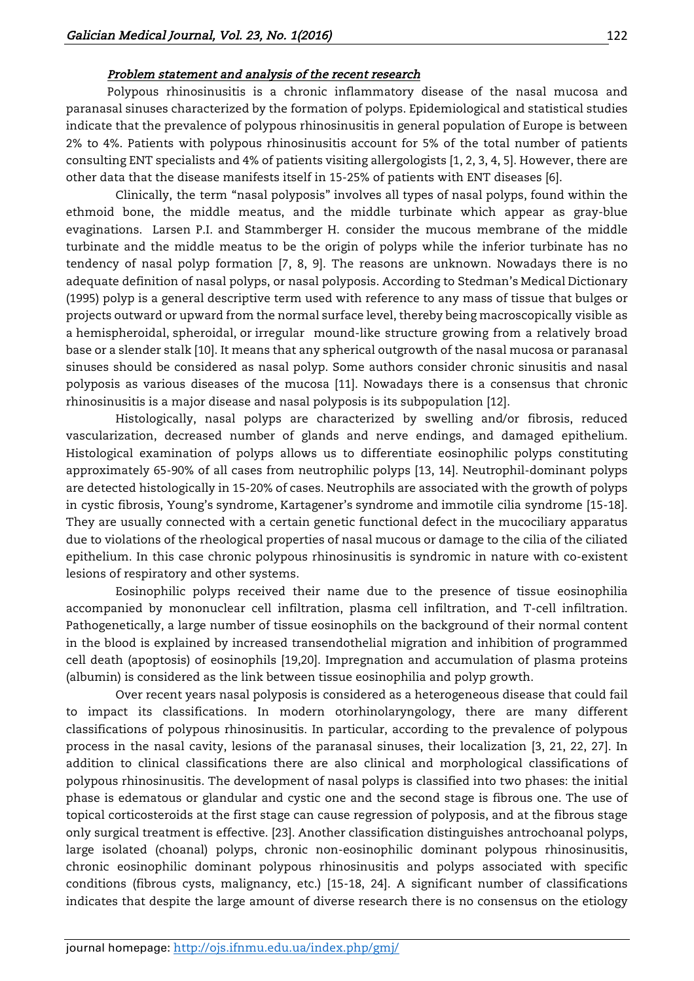#### Problem statement and analysis of the recent research

Polypous rhinosinusitis is a chronic inflammatory disease of the nasal mucosa and paranasal sinuses characterized by the formation of polyps. Epidemiological and statistical studies indicate that the prevalence of polypous rhinosinusitis in general population of Europe is between 2% to 4%. Patients with polypous rhinosinusitis account for 5% of the total number of patients consulting ENT specialists and 4% of patients visiting allergologists [1, 2, 3, 4, 5]. However, there are other data that the disease manifests itself in 15-25% of patients with ENT diseases [6].

Clinically, the term "nasal polyposis" involves all types of nasal polyps, found within the ethmoid bone, the middle meatus, and the middle turbinate which appear as gray-blue evaginations. Larsen P.I. and Stammberger H. consider the mucous membrane of the middle turbinate and the middle meatus to be the origin of polyps while the inferior turbinate has no tendency of nasal polyp formation [7, 8, 9]. The reasons are unknown. Nowadays there is no adequate definition of nasal polyps, or nasal polyposis. According to Stedman's Medical Dictionary (1995) polyp is a general descriptive term used with reference to any mass of tissue that bulges or projects outward or upward from the normal surface level, thereby being macroscopically visible as a hemispheroidal, spheroidal, or irregular mound-like structure growing from a relatively broad base or a slender stalk [10]. It means that any spherical outgrowth of the nasal mucosa or paranasal sinuses should be considered as nasal polyp. Some authors consider chronic sinusitis and nasal polyposis as various diseases of the mucosa [11]. Nowadays there is a consensus that chronic rhinosinusitis is a major disease and nasal polyposis is its subpopulation [12].

Histologically, nasal polyps are characterized by swelling and/or fibrosis, reduced vascularization, decreased number of glands and nerve endings, and damaged epithelium. Histological examination of polyps allows us to differentiate eosinophilic polyps constituting approximately 65-90% of all cases from neutrophilic polyps [13, 14]. Neutrophil-dominant polyps are detected histologically in 15-20% of cases. Neutrophils are associated with the growth of polyps in cystic fibrosis, Young's syndrome, Kartagener's syndrome and immotile cilia syndrome [15-18]. They are usually connected with a certain genetic functional defect in the mucociliary apparatus due to violations of the rheological properties of nasal mucous or damage to the cilia of the ciliated epithelium. In this case chronic polypous rhinosinusitis is syndromic in nature with co-existent lesions of respiratory and other systems.

Eosinophilic polyps received their name due to the presence of tissue eosinophilia accompanied by mononuclear cell infiltration, plasma cell infiltration, and T-cell infiltration. Pathogenetically, a large number of tissue eosinophils on the background of their normal content in the blood is explained by increased transendothelial migration and inhibition of programmed cell death (apoptosis) of eosinophils [19,20]. Impregnation and accumulation of plasma proteins (albumin) is considered as the link between tissue eosinophilia and polyp growth.

Over recent years nasal polyposis is considered as a heterogeneous disease that could fail to impact its classifications. In modern otorhinolaryngology, there are many different classifications of polypous rhinosinusitis. In particular, according to the prevalence of polypous process in the nasal cavity, lesions of the paranasal sinuses, their localization [3, 21, 22, 27]. In addition to clinical classifications there are also clinical and morphological classifications of polypous rhinosinusitis. The development of nasal polyps is classified into two phases: the initial phase is edematous or glandular and cystic one and the second stage is fibrous one. The use of topical corticosteroids at the first stage can cause regression of polyposis, and at the fibrous stage only surgical treatment is effective. [23]. Another classification distinguishes antrochoanal polyps, large isolated (choanal) polyps, chronic non-eosinophilic dominant polypous rhinosinusitis, chronic eosinophilic dominant polypous rhinosinusitis and polyps associated with specific conditions (fibrous cysts, malignancy, etc.) [15-18, 24]. A significant number of classifications indicates that despite the large amount of diverse research there is no consensus on the etiology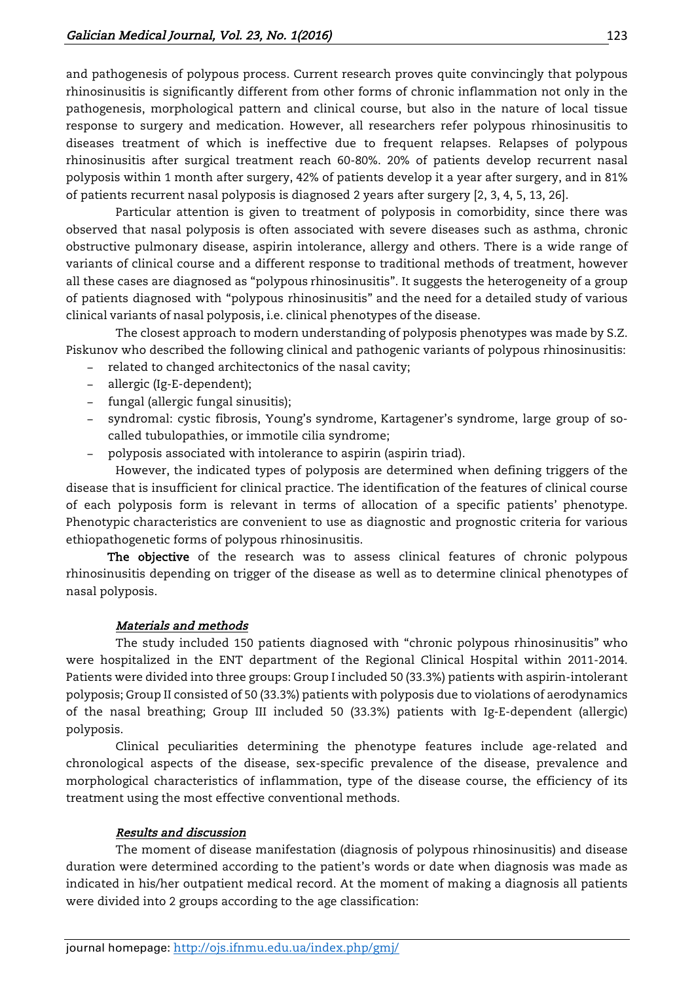and pathogenesis of polypous process. Current research proves quite convincingly that polypous rhinosinusitis is significantly different from other forms of chronic inflammation not only in the pathogenesis, morphological pattern and clinical course, but also in the nature of local tissue response to surgery and medication. However, all researchers refer polypous rhinosinusitis to diseases treatment of which is ineffective due to frequent relapses. Relapses of polypous rhinosinusitis after surgical treatment reach 60-80%. 20% of patients develop recurrent nasal polyposis within 1 month after surgery, 42% of patients develop it a year after surgery, and in 81% of patients recurrent nasal polyposis is diagnosed 2 years after surgery [2, 3, 4, 5, 13, 26].

Particular attention is given to treatment of polyposis in comorbidity, since there was observed that nasal polyposis is often associated with severe diseases such as asthma, chronic obstructive pulmonary disease, aspirin intolerance, allergy and others. There is a wide range of variants of clinical course and a different response to traditional methods of treatment, however all these cases are diagnosed as "polypous rhinosinusitis". It suggests the heterogeneity of a group of patients diagnosed with "polypous rhinosinusitis" and the need for a detailed study of various clinical variants of nasal polyposis, i.e. clinical phenotypes of the disease.

The closest approach to modern understanding of polyposis phenotypes was made by S.Z. Piskunov who described the following clinical and pathogenic variants of polypous rhinosinusitis:

- − related to changed architectonics of the nasal cavity;
- − allergic (Ig-E-dependent);
- − fungal (allergic fungal sinusitis);
- − syndromal: cystic fibrosis, Young's syndrome, Kartagener's syndrome, large group of socalled tubulopathies, or immotile cilia syndrome;
- − polyposis associated with intolerance to aspirin (aspirin triad).

However, the indicated types of polyposis are determined when defining triggers of the disease that is insufficient for clinical practice. The identification of the features of clinical course of each polyposis form is relevant in terms of allocation of a specific patients' phenotype. Phenotypic characteristics are convenient to use as diagnostic and prognostic criteria for various ethiopathogenetic forms of polypous rhinosinusitis.

The objective of the research was to assess clinical features of chronic polypous rhinosinusitis depending on trigger of the disease as well as to determine clinical phenotypes of nasal polyposis.

## Materials and methods

The study included 150 patients diagnosed with "chronic polypous rhinosinusitis" who were hospitalized in the ENT department of the Regional Clinical Hospital within 2011-2014. Patients were divided into three groups: Group I included 50 (33.3%) patients with aspirin-intolerant polyposis; Group II consisted of 50 (33.3%) patients with polyposis due to violations of aerodynamics of the nasal breathing; Group III included 50 (33.3%) patients with Ig-E-dependent (allergic) polyposis.

Clinical peculiarities determining the phenotype features include age-related and chronological aspects of the disease, sex-specific prevalence of the disease, prevalence and morphological characteristics of inflammation, type of the disease course, the efficiency of its treatment using the most effective conventional methods.

## Results and discussion

The moment of disease manifestation (diagnosis of polypous rhinosinusitis) and disease duration were determined according to the patient's words or date when diagnosis was made as indicated in his/her outpatient medical record. At the moment of making a diagnosis all patients were divided into 2 groups according to the age classification:

journal homepage: http://ojs.ifnmu.edu.ua/index.php/gmj/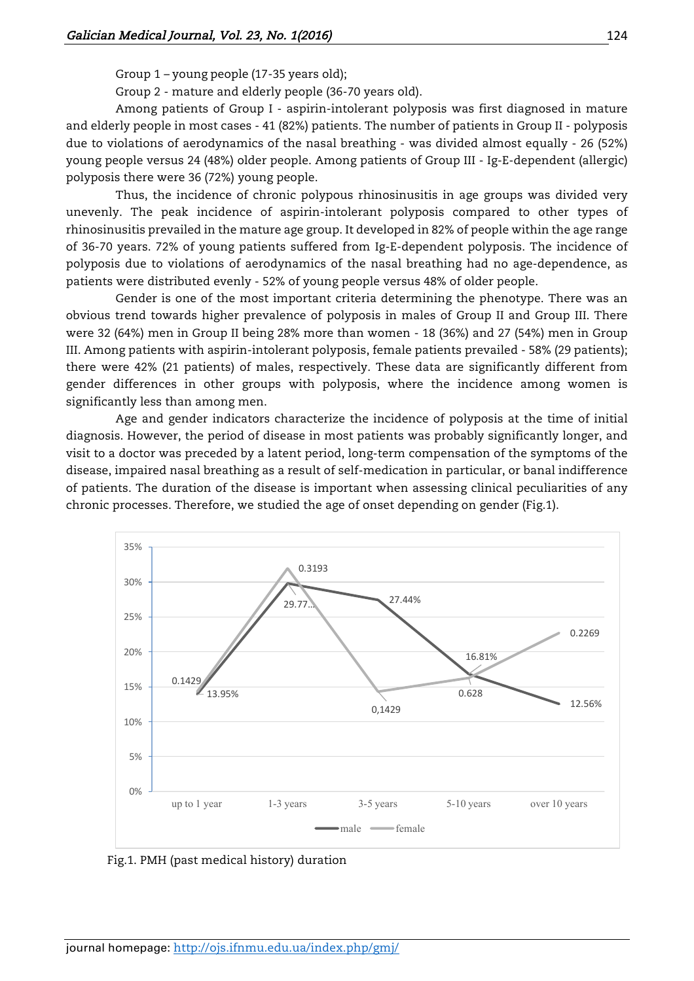Group 1 – young people (17-35 years old);

Group 2 - mature and elderly people (36-70 years old).

Among patients of Group I - aspirin-intolerant polyposis was first diagnosed in mature and elderly people in most cases - 41 (82%) patients. The number of patients in Group II - polyposis due to violations of aerodynamics of the nasal breathing - was divided almost equally - 26 (52%) young people versus 24 (48%) older people. Among patients of Group III - Ig-E-dependent (allergic) polyposis there were 36 (72%) young people.

Thus, the incidence of chronic polypous rhinosinusitis in age groups was divided very unevenly. The peak incidence of aspirin-intolerant polyposis compared to other types of rhinosinusitis prevailed in the mature age group. It developed in 82% of people within the age range of 36-70 years. 72% of young patients suffered from Ig-E-dependent polyposis. The incidence of polyposis due to violations of aerodynamics of the nasal breathing had no age-dependence, as patients were distributed evenly - 52% of young people versus 48% of older people.

Gender is one of the most important criteria determining the phenotype. There was an obvious trend towards higher prevalence of polyposis in males of Group II and Group III. There were 32 (64%) men in Group II being 28% more than women - 18 (36%) and 27 (54%) men in Group III. Among patients with aspirin-intolerant polyposis, female patients prevailed - 58% (29 patients); there were 42% (21 patients) of males, respectively. These data are significantly different from gender differences in other groups with polyposis, where the incidence among women is significantly less than among men.

Age and gender indicators characterize the incidence of polyposis at the time of initial diagnosis. However, the period of disease in most patients was probably significantly longer, and visit to a doctor was preceded by a latent period, long-term compensation of the symptoms of the disease, impaired nasal breathing as a result of self-medication in particular, or banal indifference of patients. The duration of the disease is important when assessing clinical peculiarities of any chronic processes. Therefore, we studied the age of onset depending on gender (Fig.1).



Fig.1. PMH (past medical history) duration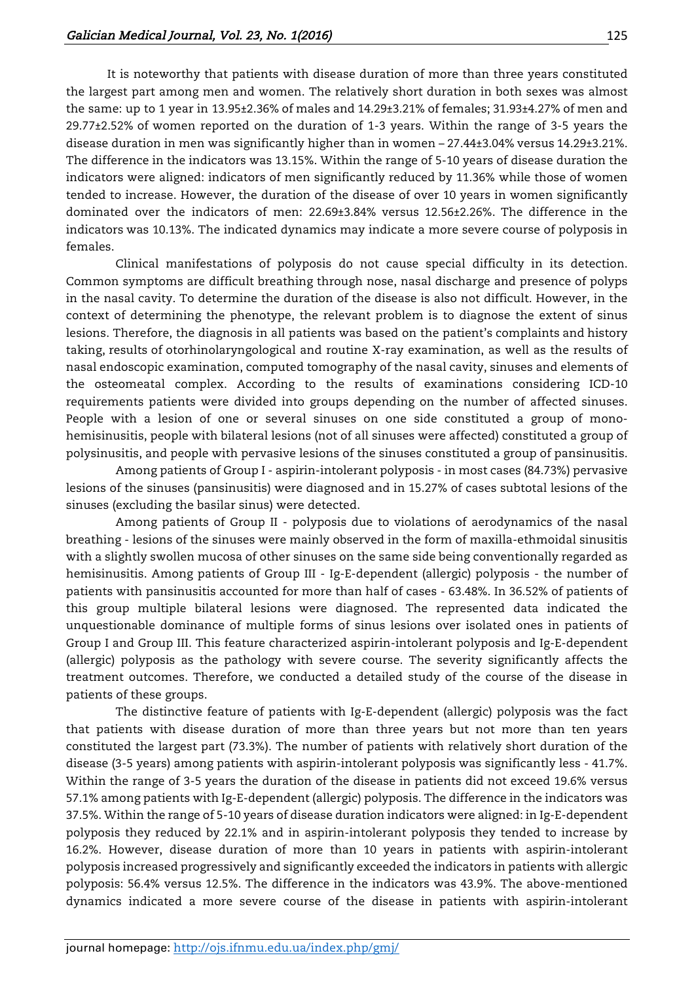It is noteworthy that patients with disease duration of more than three years constituted the largest part among men and women. The relatively short duration in both sexes was almost the same: up to 1 year in 13.95±2.36% of males and 14.29±3.21% of females; 31.93±4.27% of men and 29.77±2.52% of women reported on the duration of 1-3 years. Within the range of 3-5 years the disease duration in men was significantly higher than in women – 27.44±3.04% versus 14.29±3.21%. The difference in the indicators was 13.15%. Within the range of 5-10 years of disease duration the indicators were aligned: indicators of men significantly reduced by 11.36% while those of women tended to increase. However, the duration of the disease of over 10 years in women significantly dominated over the indicators of men: 22.69±3.84% versus 12.56±2.26%. The difference in the indicators was 10.13%. The indicated dynamics may indicate a more severe course of polyposis in females.

Clinical manifestations of polyposis do not cause special difficulty in its detection. Common symptoms are difficult breathing through nose, nasal discharge and presence of polyps in the nasal cavity. To determine the duration of the disease is also not difficult. However, in the context of determining the phenotype, the relevant problem is to diagnose the extent of sinus lesions. Therefore, the diagnosis in all patients was based on the patient's complaints and history taking, results of otorhinolaryngological and routine X-ray examination, as well as the results of nasal endoscopic examination, computed tomography of the nasal cavity, sinuses and elements of the osteomeatal complex. According to the results of examinations considering ICD-10 requirements patients were divided into groups depending on the number of affected sinuses. People with a lesion of one or several sinuses on one side constituted a group of monohemisinusitis, people with bilateral lesions (not of all sinuses were affected) constituted a group of polysinusitis, and people with pervasive lesions of the sinuses constituted a group of pansinusitis.

Among patients of Group I - aspirin-intolerant polyposis - in most cases (84.73%) pervasive lesions of the sinuses (pansinusitis) were diagnosed and in 15.27% of cases subtotal lesions of the sinuses (excluding the basilar sinus) were detected.

Among patients of Group II - polyposis due to violations of aerodynamics of the nasal breathing - lesions of the sinuses were mainly observed in the form of maxilla-ethmoidal sinusitis with a slightly swollen mucosa of other sinuses on the same side being conventionally regarded as hemisinusitis. Among patients of Group III - Ig-E-dependent (allergic) polyposis - the number of patients with pansinusitis accounted for more than half of cases - 63.48%. In 36.52% of patients of this group multiple bilateral lesions were diagnosed. The represented data indicated the unquestionable dominance of multiple forms of sinus lesions over isolated ones in patients of Group I and Group III. This feature characterized aspirin-intolerant polyposis and Ig-E-dependent (allergic) polyposis as the pathology with severe course. The severity significantly affects the treatment outcomes. Therefore, we conducted a detailed study of the course of the disease in patients of these groups.

The distinctive feature of patients with Ig-E-dependent (allergic) polyposis was the fact that patients with disease duration of more than three years but not more than ten years constituted the largest part (73.3%). The number of patients with relatively short duration of the disease (3-5 years) among patients with aspirin-intolerant polyposis was significantly less - 41.7%. Within the range of 3-5 years the duration of the disease in patients did not exceed 19.6% versus 57.1% among patients with Ig-E-dependent (allergic) polyposis. The difference in the indicators was 37.5%. Within the range of 5-10 years of disease duration indicators were aligned: in Ig-E-dependent polyposis they reduced by 22.1% and in aspirin-intolerant polyposis they tended to increase by 16.2%. However, disease duration of more than 10 years in patients with aspirin-intolerant polyposis increased progressively and significantly exceeded the indicators in patients with allergic polyposis: 56.4% versus 12.5%. The difference in the indicators was 43.9%. The above-mentioned dynamics indicated a more severe course of the disease in patients with aspirin-intolerant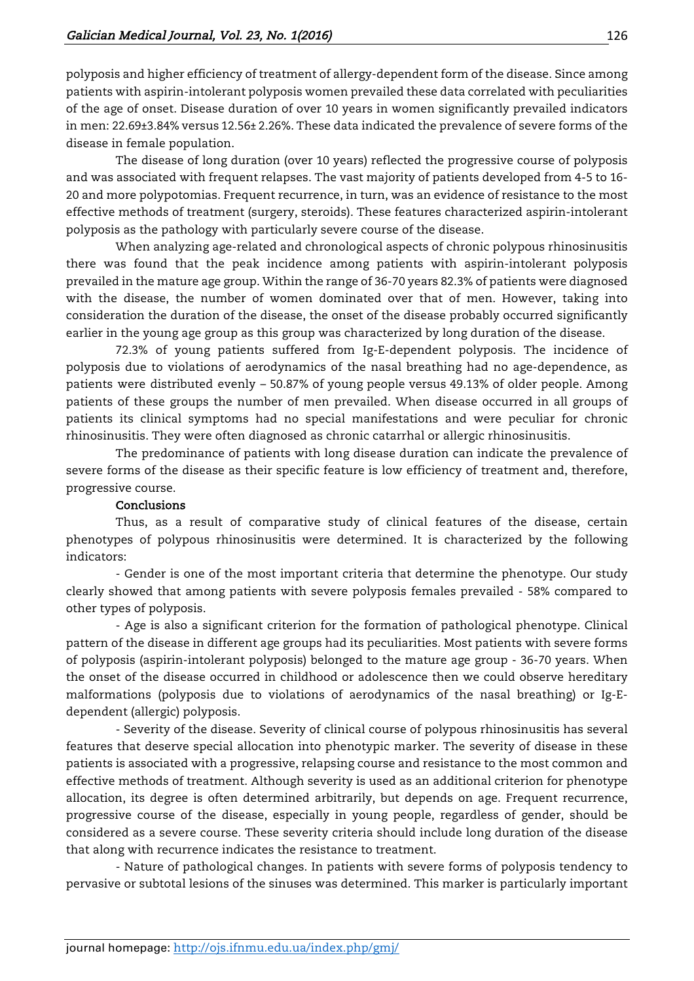polyposis and higher efficiency of treatment of allergy-dependent form of the disease. Since among patients with aspirin-intolerant polyposis women prevailed these data correlated with peculiarities of the age of onset. Disease duration of over 10 years in women significantly prevailed indicators in men: 22.69±3.84% versus 12.56± 2.26%. These data indicated the prevalence of severe forms of the disease in female population.

The disease of long duration (over 10 years) reflected the progressive course of polyposis and was associated with frequent relapses. The vast majority of patients developed from 4-5 to 16- 20 and more polypotomias. Frequent recurrence, in turn, was an evidence of resistance to the most effective methods of treatment (surgery, steroids). These features characterized aspirin-intolerant polyposis as the pathology with particularly severe course of the disease.

When analyzing age-related and chronological aspects of chronic polypous rhinosinusitis there was found that the peak incidence among patients with aspirin-intolerant polyposis prevailed in the mature age group. Within the range of 36-70 years 82.3% of patients were diagnosed with the disease, the number of women dominated over that of men. However, taking into consideration the duration of the disease, the onset of the disease probably occurred significantly earlier in the young age group as this group was characterized by long duration of the disease.

72.3% of young patients suffered from Ig-E-dependent polyposis. The incidence of polyposis due to violations of aerodynamics of the nasal breathing had no age-dependence, as patients were distributed evenly – 50.87% of young people versus 49.13% of older people. Among patients of these groups the number of men prevailed. When disease occurred in all groups of patients its clinical symptoms had no special manifestations and were peculiar for chronic rhinosinusitis. They were often diagnosed as chronic catarrhal or allergic rhinosinusitis.

The predominance of patients with long disease duration can indicate the prevalence of severe forms of the disease as their specific feature is low efficiency of treatment and, therefore, progressive course.

## Conclusions

Thus, as a result of comparative study of clinical features of the disease, certain phenotypes of polypous rhinosinusitis were determined. It is characterized by the following indicators:

- Gender is one of the most important criteria that determine the phenotype. Our study clearly showed that among patients with severe polyposis females prevailed - 58% compared to other types of polyposis.

- Age is also a significant criterion for the formation of pathological phenotype. Clinical pattern of the disease in different age groups had its peculiarities. Most patients with severe forms of polyposis (aspirin-intolerant polyposis) belonged to the mature age group - 36-70 years. When the onset of the disease occurred in childhood or adolescence then we could observe hereditary malformations (polyposis due to violations of aerodynamics of the nasal breathing) or Ig-Edependent (allergic) polyposis.

- Severity of the disease. Severity of clinical course of polypous rhinosinusitis has several features that deserve special allocation into phenotypic marker. The severity of disease in these patients is associated with a progressive, relapsing course and resistance to the most common and effective methods of treatment. Although severity is used as an additional criterion for phenotype allocation, its degree is often determined arbitrarily, but depends on age. Frequent recurrence, progressive course of the disease, especially in young people, regardless of gender, should be considered as a severe course. These severity criteria should include long duration of the disease that along with recurrence indicates the resistance to treatment.

- Nature of pathological changes. In patients with severe forms of polyposis tendency to pervasive or subtotal lesions of the sinuses was determined. This marker is particularly important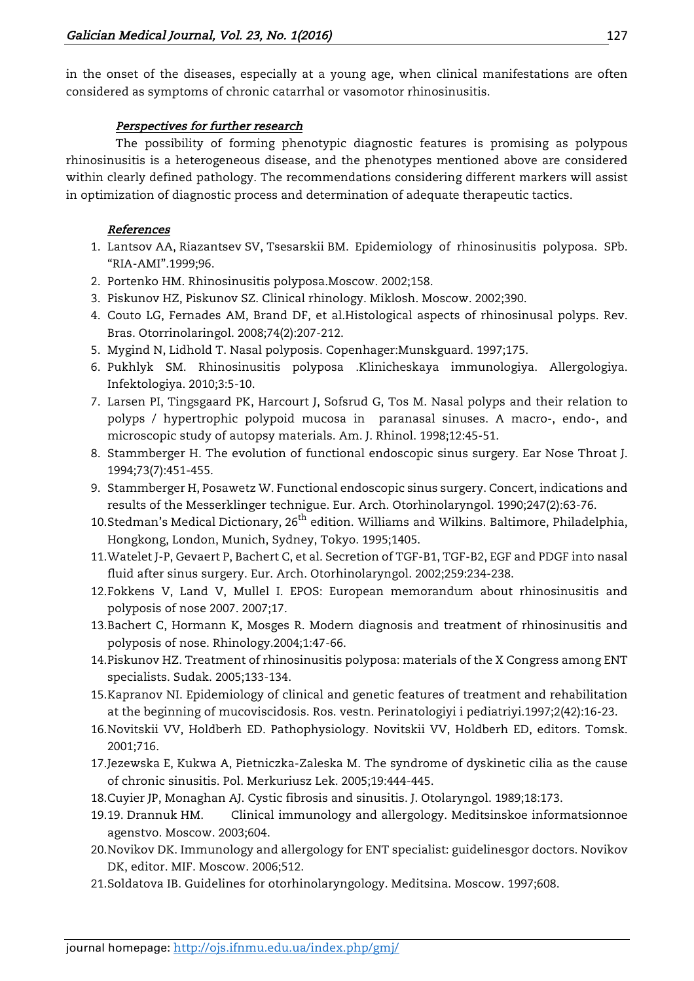in the onset of the diseases, especially at a young age, when clinical manifestations are often considered as symptoms of chronic catarrhal or vasomotor rhinosinusitis.

# Perspectives for further research

The possibility of forming phenotypic diagnostic features is promising as polypous rhinosinusitis is a heterogeneous disease, and the phenotypes mentioned above are considered within clearly defined pathology. The recommendations considering different markers will assist in optimization of diagnostic process and determination of adequate therapeutic tactics.

## References

- 1. Lantsov AA, Riazantsev SV, Tsesarskii BM. Epidemiology of rhinosinusitis polyposa. SPb. "RIA-AMI".1999;96.
- 2. Portenko HM. Rhinosinusitis polyposa.Moscow. 2002;158.
- 3. Piskunov HZ, Piskunov SZ. Clinical rhinology. Miklosh. Moscow. 2002;390.
- 4. Couto LG, Fernades AM, Brand DF, et al.Histological aspects of rhinosinusal polyps. Rev. Bras. Otorrinolaringol. 2008;74(2):207-212.
- 5. Mygind N, Lidhold T. Nasal polyposis. Copenhager:Munskguard. 1997;175.
- 6. Pukhlyk SM. Rhinosinusitis polyposa .Klinicheskaya immunologiya. Allergologiya. Infektologiya. 2010;3:5-10.
- 7. Larsen PI, Tingsgaard PK, Harcourt J, Sofsrud G, Tos M. Nasal polyps and their relation to polyps / hypertrophic polypoid mucosa in paranasal sinuses. A macro-, endo-, and microscopic study of autopsy materials. Am. J. Rhinol. 1998;12:45-51.
- 8. Stammberger H. The evolution of functional endoscopic sinus surgery. Ear Nose Throat J. 1994;73(7):451-455.
- 9. Stammberger H, Posawetz W. Functional endoscopic sinus surgery. Concert, indications and results of the Messerklinger technigue. Eur. Arch. Otorhinolaryngol. 1990;247(2):63-76.
- 10.Stedman's Medical Dictionary, 26<sup>th</sup> edition. Williams and Wilkins. Baltimore, Philadelphia, Hongkong, London, Munich, Sydney, Tokyo. 1995;1405.
- 11.Watelet J-P, Gevaert P, Bachert C, et al. Secretion of TGF-B1, TGF-B2, EGF and PDGF into nasal fluid after sinus surgery. Eur. Arch. Otorhinolaryngol. 2002;259:234-238.
- 12.Fokkens V, Land V, Mullel I. EPOS: European memorandum about rhinosinusitis and polyposis of nose 2007. 2007;17.
- 13.Bachert C, Hormann K, Mosges R. Modern diagnosis and treatment of rhinosinusitis and polyposis of nose. Rhinology.2004;1:47-66.
- 14.Piskunov HZ. Treatment of rhinosinusitis polyposa: materials of the X Congress among ENT specialists. Sudak. 2005;133-134.
- 15.Kapranov NI. Epidemiology of clinical and genetic features of treatment and rehabilitation at the beginning of mucoviscidosis. Ros. vestn. Perinatologiyi i pediatriyi.1997;2(42):16-23.
- 16.Novitskii VV, Holdberh ED. Pathophysiology. Novitskii VV, Holdberh ED, editors. Tomsk. 2001;716.
- 17.Jezewska E, Kukwa A, Pietniczka-Zaleska M. The syndrome of dyskinetic cilia as the cause of chronic sinusitis. Pol. Merkuriusz Lek. 2005;19:444-445.
- 18.Cuyier JP, Monaghan AJ. Cystic fibrosis and sinusitis. J. Otolaryngol. 1989;18:173.
- 19.19. Drannuk HM. Clinical immunology and allergology. Meditsinskoe informatsionnoe agenstvo. Moscow. 2003;604.
- 20.Novikov DK. Immunology and allergology for ENT specialist: guidelinesgor doctors. Novikov DK, editor. MIF. Moscow. 2006;512.
- 21.Soldatova IB. Guidelines for otorhinolaryngology. Meditsina. Moscow. 1997;608.